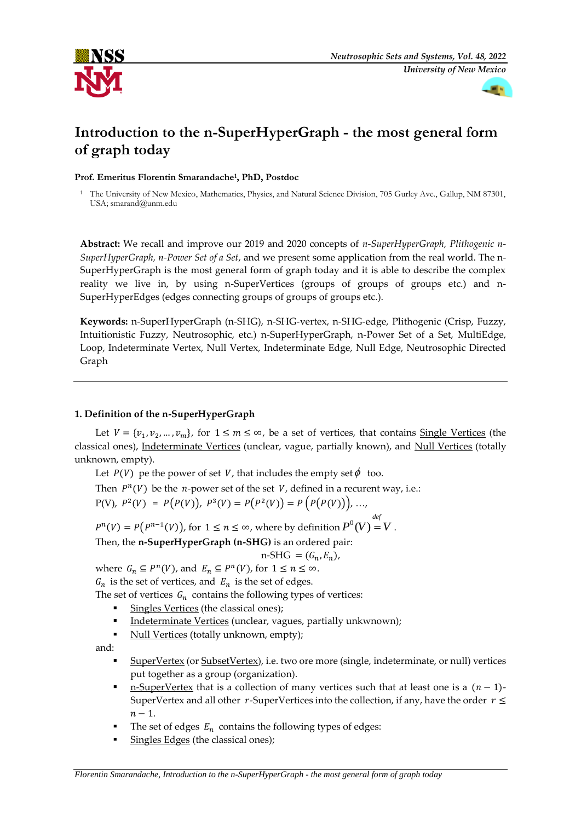



# **Introduction to the n-SuperHyperGraph - the most general form of graph today**

**Prof. Emeritus Florentin Smarandache<sup>1</sup> , PhD, Postdoc**

<sup>1</sup> The University of New Mexico, Mathematics, Physics, and Natural Science Division, 705 Gurley Ave., Gallup, NM 87301, USA; smarand@unm.edu

**Abstract:** We recall and improve our 2019 and 2020 concepts of *n-SuperHyperGraph, Plithogenic n-SuperHyperGraph, n-Power Set of a Set*, and we present some application from the real world. The n-SuperHyperGraph is the most general form of graph today and it is able to describe the complex reality we live in, by using n-SuperVertices (groups of groups of groups etc.) and n-SuperHyperEdges (edges connecting groups of groups of groups etc.).

**Keywords:** n-SuperHyperGraph (n-SHG), n-SHG-vertex, n-SHG-edge, Plithogenic (Crisp, Fuzzy, Intuitionistic Fuzzy, Neutrosophic, etc.) n-SuperHyperGraph, n-Power Set of a Set, MultiEdge, Loop, Indeterminate Vertex, Null Vertex, Indeterminate Edge, Null Edge, Neutrosophic Directed Graph

# **1. Definition of the n-SuperHyperGraph**

Let  $V = \{v_1, v_2, ..., v_m\}$ , for  $1 \le m \le \infty$ , be a set of vertices, that contains <u>Single Vertices</u> (the classical ones), Indeterminate Vertices (unclear, vague, partially known), and Null Vertices (totally unknown, empty).

Let  $P(V)$  pe the power of set V, that includes the empty set  $\phi$  too.

Then  $P^{n}(V)$  be the *n*-power set of the set V, defined in a recurent way, i.e.:

$$
P(V), P2(V) = P(P(V)), P3(V) = P(P2(V)) = P(P(P(V))), ...,
$$

 $P^{n}(V) = P(P^{n-1}(V))$ , for  $1 \leq n \leq \infty$ , where by definition  $P^{0}(V) = V$  . *def*

Then, the **n-SuperHyperGraph (n-SHG)** is an ordered pair:

$$
n-SHG = (G_n, E_n),
$$

where  $G_n \subseteq P^n(V)$ , and  $E_n \subseteq P^n(V)$ , for  $1 \le n \le \infty$ .  $G_n$  is the set of vertices, and  $E_n$  is the set of edges.

The set of vertices  $G_n$  contains the following types of vertices:

- Singles Vertices (the classical ones);
- Indeterminate Vertices (unclear, vagues, partially unkwnown);
- Null Vertices (totally unknown, empty);

and:

- SuperVertex (or SubsetVertex), i.e. two ore more (single, indeterminate, or null) vertices put together as a group (organization).
- n-SuperVertex that is a collection of many vertices such that at least one is a  $(n 1)$ -SuperVertex and all other r-SuperVertices into the collection, if any, have the order  $r \leq$  $n-1$ .
- The set of edges  $E_n$  contains the following types of edges:
- Singles Edges (the classical ones);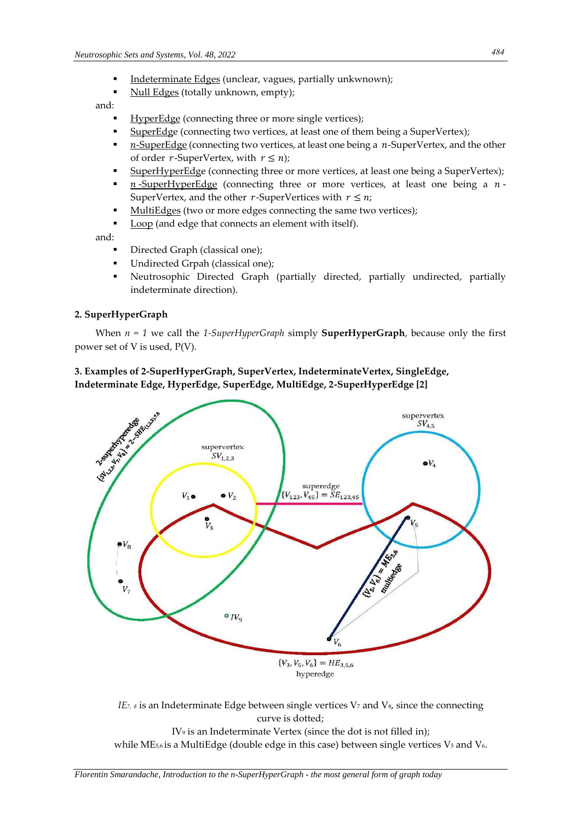- Indeterminate Edges (unclear, vagues, partially unkwnown);
- Null Edges (totally unknown, empty);

### and:

- HyperEdge (connecting three or more single vertices);
- SuperEdge (connecting two vertices, at least one of them being a SuperVertex);
- $n$ -SuperEdge (connecting two vertices, at least one being a  $n$ -SuperVertex, and the other of order  $r$ -SuperVertex, with  $r \leq n$ ;
- SuperHyperEdge (connecting three or more vertices, at least one being a SuperVertex);
- $n$ -SuperHyperEdge (connecting three or more vertices, at least one being a  $n$ -SuperVertex, and the other  $r$ -SuperVertices with  $r \leq n$ ;
- MultiEdges (two or more edges connecting the same two vertices);
- Loop (and edge that connects an element with itself).

and:

- Directed Graph (classical one);
- Undirected Grpah (classical one);
- Neutrosophic Directed Graph (partially directed, partially undirected, partially indeterminate direction).

## **2. SuperHyperGraph**

When  $n = 1$  we call the 1-SuperHyperGraph simply **SuperHyperGraph**, because only the first power set of V is used, P(V).

# **3. Examples of 2-SuperHyperGraph, SuperVertex, IndeterminateVertex, SingleEdge, Indeterminate Edge, HyperEdge, SuperEdge, MultiEdge, 2-SuperHyperEdge [2]**



*IE*<sub>*7, 8*</sub> is an Indeterminate Edge between single vertices V<sub>7</sub> and V<sub>8</sub>, since the connecting curve is dotted; IV<sup>9</sup> is an Indeterminate Vertex (since the dot is not filled in); while ME $_{5,6}$  is a MultiEdge (double edge in this case) between single vertices V<sub>5</sub> and V<sub>6</sub>.